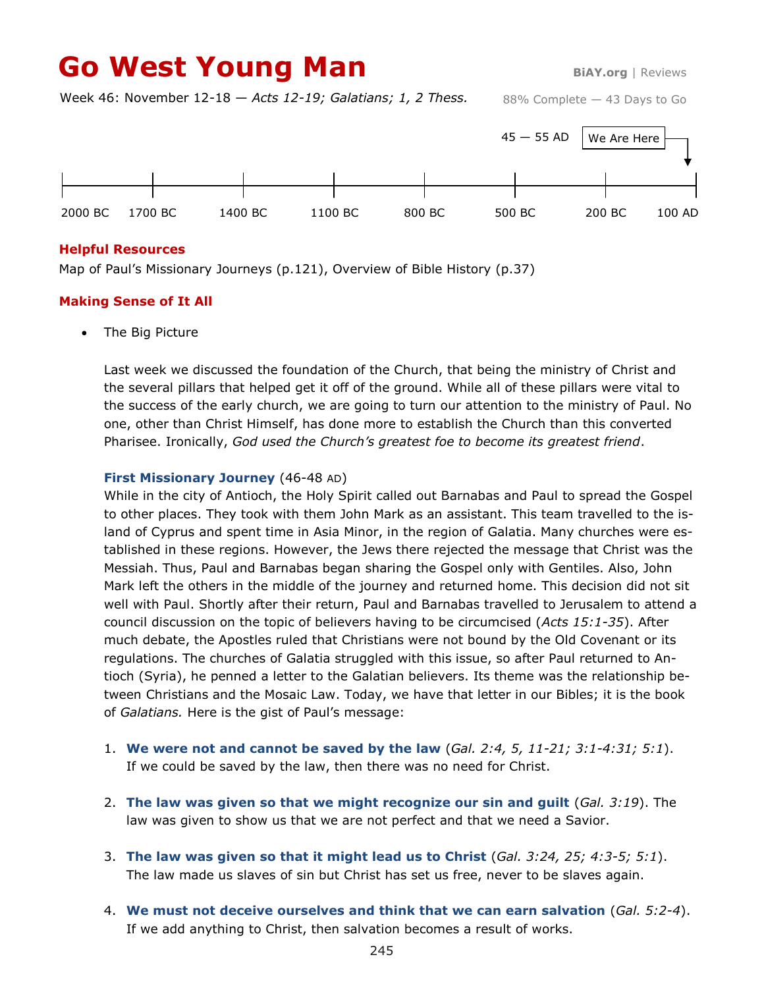# **Go West Young Man BiAY.org** | Reviews

Week 46: November 12-18 — *Acts 12-19; Galatians; 1, 2 Thess.*

88% Complete — 43 Days to Go



# **Helpful Resources**

Map of Paul's Missionary Journeys (p.121), Overview of Bible History (p.37)

# **Making Sense of It All**

The Big Picture

Last week we discussed the foundation of the Church, that being the ministry of Christ and the several pillars that helped get it off of the ground. While all of these pillars were vital to the success of the early church, we are going to turn our attention to the ministry of Paul. No one, other than Christ Himself, has done more to establish the Church than this converted Pharisee. Ironically, *God used the Church's greatest foe to become its greatest friend*.

# **First Missionary Journey** (46-48 AD)

While in the city of Antioch, the Holy Spirit called out Barnabas and Paul to spread the Gospel to other places. They took with them John Mark as an assistant. This team travelled to the island of Cyprus and spent time in Asia Minor, in the region of Galatia. Many churches were established in these regions. However, the Jews there rejected the message that Christ was the Messiah. Thus, Paul and Barnabas began sharing the Gospel only with Gentiles. Also, John Mark left the others in the middle of the journey and returned home. This decision did not sit well with Paul. Shortly after their return, Paul and Barnabas travelled to Jerusalem to attend a council discussion on the topic of believers having to be circumcised (*Acts 15:1-35*). After much debate, the Apostles ruled that Christians were not bound by the Old Covenant or its regulations. The churches of Galatia struggled with this issue, so after Paul returned to Antioch (Syria), he penned a letter to the Galatian believers. Its theme was the relationship between Christians and the Mosaic Law. Today, we have that letter in our Bibles; it is the book of *Galatians.* Here is the gist of Paul's message:

- 1. **We were not and cannot be saved by the law** (*Gal. 2:4, 5, 11-21; 3:1-4:31; 5:1*). If we could be saved by the law, then there was no need for Christ.
- 2. **The law was given so that we might recognize our sin and guilt** (*Gal. 3:19*). The law was given to show us that we are not perfect and that we need a Savior.
- 3. **The law was given so that it might lead us to Christ** (*Gal. 3:24, 25; 4:3-5; 5:1*). The law made us slaves of sin but Christ has set us free, never to be slaves again.
- 4. **We must not deceive ourselves and think that we can earn salvation** (*Gal. 5:2-4*). If we add anything to Christ, then salvation becomes a result of works.